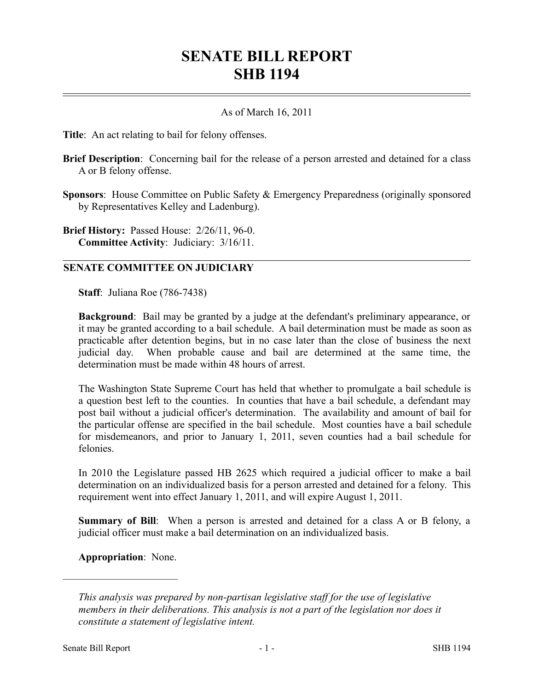## **SENATE BILL REPORT SHB 1194**

## As of March 16, 2011

**Title**: An act relating to bail for felony offenses.

**Brief Description**: Concerning bail for the release of a person arrested and detained for a class A or B felony offense.

**Sponsors**: House Committee on Public Safety & Emergency Preparedness (originally sponsored by Representatives Kelley and Ladenburg).

**Brief History:** Passed House: 2/26/11, 96-0. **Committee Activity**: Judiciary: 3/16/11.

## **SENATE COMMITTEE ON JUDICIARY**

**Staff**: Juliana Roe (786-7438)

**Background**: Bail may be granted by a judge at the defendant's preliminary appearance, or it may be granted according to a bail schedule. A bail determination must be made as soon as practicable after detention begins, but in no case later than the close of business the next judicial day. When probable cause and bail are determined at the same time, the determination must be made within 48 hours of arrest.

The Washington State Supreme Court has held that whether to promulgate a bail schedule is a question best left to the counties. In counties that have a bail schedule, a defendant may post bail without a judicial officer's determination. The availability and amount of bail for the particular offense are specified in the bail schedule. Most counties have a bail schedule for misdemeanors, and prior to January 1, 2011, seven counties had a bail schedule for felonies.

In 2010 the Legislature passed HB 2625 which required a judicial officer to make a bail determination on an individualized basis for a person arrested and detained for a felony. This requirement went into effect January 1, 2011, and will expire August 1, 2011.

**Summary of Bill**: When a person is arrested and detained for a class A or B felony, a judicial officer must make a bail determination on an individualized basis.

**Appropriation**: None.

––––––––––––––––––––––

*This analysis was prepared by non-partisan legislative staff for the use of legislative members in their deliberations. This analysis is not a part of the legislation nor does it constitute a statement of legislative intent.*